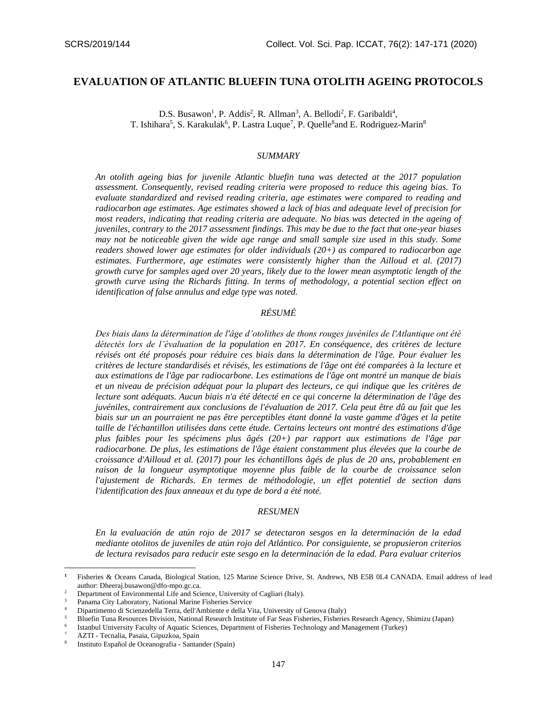# **EVALUATION OF ATLANTIC BLUEFIN TUNA OTOLITH AGEING PROTOCOLS**

D.S. Busawon<sup>1</sup>, P. Addis<sup>2</sup>, R. Allman<sup>3</sup>, A. Bellodi<sup>2</sup>, F. Garibaldi<sup>4</sup>, T. Ishihara<sup>5</sup>, S. Karakulak<sup>6</sup>, P. Lastra Luque<sup>7</sup>, P. Quelle<sup>8</sup>and E. Rodriguez-Marin<sup>8</sup>

## *SUMMARY*

*An otolith ageing bias for juvenile Atlantic bluefin tuna was detected at the 2017 population assessment. Consequently, revised reading criteria were proposed to reduce this ageing bias. To evaluate standardized and revised reading criteria, age estimates were compared to reading and radiocarbon age estimates. Age estimates showed a lack of bias and adequate level of precision for most readers, indicating that reading criteria are adequate. No bias was detected in the ageing of juveniles, contrary to the 2017 assessment findings. This may be due to the fact that one-year biases may not be noticeable given the wide age range and small sample size used in this study. Some readers showed lower age estimates for older individuals (20+) as compared to radiocarbon age estimates. Furthermore, age estimates were consistently higher than the Ailloud et al. (2017) growth curve for samples aged over 20 years, likely due to the lower mean asymptotic length of the growth curve using the Richards fitting. In terms of methodology, a potential section effect on identification of false annulus and edge type was noted.* 

# *RÉSUMÉ*

*Des biais dans la détermination de l'âge d'otolithes de thons rouges juvéniles de l'Atlantique ont été détectés lors de l'évaluation de la population en 2017. En conséquence, des critères de lecture révisés ont été proposés pour réduire ces biais dans la détermination de l'âge. Pour évaluer les critères de lecture standardisés et révisés, les estimations de l'âge ont été comparées à la lecture et aux estimations de l'âge par radiocarbone. Les estimations de l'âge ont montré un manque de biais et un niveau de précision adéquat pour la plupart des lecteurs, ce qui indique que les critères de lecture sont adéquats. Aucun biais n'a été détecté en ce qui concerne la détermination de l'âge des juvéniles, contrairement aux conclusions de l'évaluation de 2017. Cela peut être dû au fait que les biais sur un an pourraient ne pas être perceptibles étant donné la vaste gamme d'âges et la petite taille de l'échantillon utilisées dans cette étude. Certains lecteurs ont montré des estimations d'âge plus faibles pour les spécimens plus âgés (20+) par rapport aux estimations de l'âge par radiocarbone. De plus, les estimations de l'âge étaient constamment plus élevées que la courbe de croissance d'Ailloud et al. (2017) pour les échantillons âgés de plus de 20 ans, probablement en raison de la longueur asymptotique moyenne plus faible de la courbe de croissance selon l'ajustement de Richards. En termes de méthodologie, un effet potentiel de section dans l'identification des faux anneaux et du type de bord a été noté.* 

#### *RESUMEN*

*En la evaluación de atún rojo de 2017 se detectaron sesgos en la determinación de la edad mediante otolitos de juveniles de atún rojo del Atlántico. Por consiguiente, se propusieron criterios de lectura revisados para reducir este sesgo en la determinación de la edad. Para evaluar criterios* 

**<sup>1</sup>** Fisheries & Oceans Canada, Biological Station, 125 Marine Science Drive, St. Andrews, NB E5B 0L4 CANADA. Email address of lead author: Dheeraj.busawon@dfo-mpo.gc.ca.

<sup>&</sup>lt;sup>2</sup> Department of Environmental Life and Science, University of Cagliari (Italy).

Panama City Laboratory, National Marine Fisheries Service

<sup>4</sup> Dipartimento di Scienzedella Terra, dell'Ambiente e della Vita, University of Genova (Italy)

<sup>5</sup> Bluefin Tuna Resources Division, National Research Institute of Far Seas Fisheries, Fisheries Research Agency, Shimizu (Japan) 6

Istanbul University Faculty of Aquatic Sciences, Department of Fisheries Technology and Management (Turkey)

<sup>7</sup> AZTI - Tecnalia, Pasaia, Gipuzkoa, Spain

<sup>8</sup> Instituto Español de Oceanografia - Santander (Spain)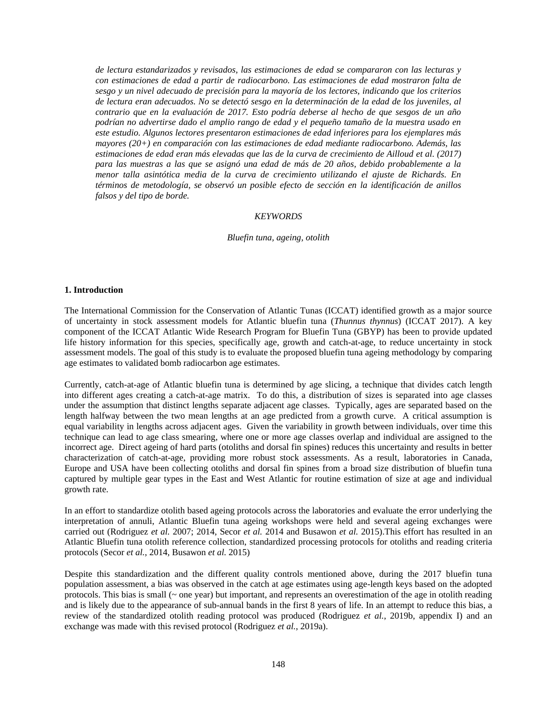*de lectura estandarizados y revisados, las estimaciones de edad se compararon con las lecturas y con estimaciones de edad a partir de radiocarbono. Las estimaciones de edad mostraron falta de sesgo y un nivel adecuado de precisión para la mayoría de los lectores, indicando que los criterios de lectura eran adecuados. No se detectó sesgo en la determinación de la edad de los juveniles, al contrario que en la evaluación de 2017. Esto podría deberse al hecho de que sesgos de un año podrían no advertirse dado el amplio rango de edad y el pequeño tamaño de la muestra usado en este estudio. Algunos lectores presentaron estimaciones de edad inferiores para los ejemplares más mayores (20+) en comparación con las estimaciones de edad mediante radiocarbono. Además, las estimaciones de edad eran más elevadas que las de la curva de crecimiento de Ailloud et al. (2017) para las muestras a las que se asignó una edad de más de 20 años, debido probablemente a la menor talla asintótica media de la curva de crecimiento utilizando el ajuste de Richards. En términos de metodología, se observó un posible efecto de sección en la identificación de anillos falsos y del tipo de borde.* 

## *KEYWORDS*

#### *Bluefin tuna, ageing, otolith*

#### **1. Introduction**

The International Commission for the Conservation of Atlantic Tunas (ICCAT) identified growth as a major source of uncertainty in stock assessment models for Atlantic bluefin tuna (*Thunnus thynnus*) (ICCAT 2017). A key component of the ICCAT Atlantic Wide Research Program for Bluefin Tuna (GBYP) has been to provide updated life history information for this species, specifically age, growth and catch-at-age, to reduce uncertainty in stock assessment models. The goal of this study is to evaluate the proposed bluefin tuna ageing methodology by comparing age estimates to validated bomb radiocarbon age estimates.

Currently, catch-at-age of Atlantic bluefin tuna is determined by age slicing, a technique that divides catch length into different ages creating a catch-at-age matrix. To do this, a distribution of sizes is separated into age classes under the assumption that distinct lengths separate adjacent age classes. Typically, ages are separated based on the length halfway between the two mean lengths at an age predicted from a growth curve. A critical assumption is equal variability in lengths across adjacent ages. Given the variability in growth between individuals, over time this technique can lead to age class smearing, where one or more age classes overlap and individual are assigned to the incorrect age. Direct ageing of hard parts (otoliths and dorsal fin spines) reduces this uncertainty and results in better characterization of catch-at-age, providing more robust stock assessments. As a result, laboratories in Canada, Europe and USA have been collecting otoliths and dorsal fin spines from a broad size distribution of bluefin tuna captured by multiple gear types in the East and West Atlantic for routine estimation of size at age and individual growth rate.

In an effort to standardize otolith based ageing protocols across the laboratories and evaluate the error underlying the interpretation of annuli, Atlantic Bluefin tuna ageing workshops were held and several ageing exchanges were carried out (Rodriguez *et al.* 2007; 2014, Secor *et al.* 2014 and Busawon *et al.* 2015).This effort has resulted in an Atlantic Bluefin tuna otolith reference collection, standardized processing protocols for otoliths and reading criteria protocols (Secor *et al.*, 2014, Busawon *et al.* 2015)

Despite this standardization and the different quality controls mentioned above, during the 2017 bluefin tuna population assessment, a bias was observed in the catch at age estimates using age-length keys based on the adopted protocols. This bias is small (~ one year) but important, and represents an overestimation of the age in otolith reading and is likely due to the appearance of sub-annual bands in the first 8 years of life. In an attempt to reduce this bias, a review of the standardized otolith reading protocol was produced (Rodriguez *et al.*, 2019b, appendix I) and an exchange was made with this revised protocol (Rodriguez *et al.*, 2019a).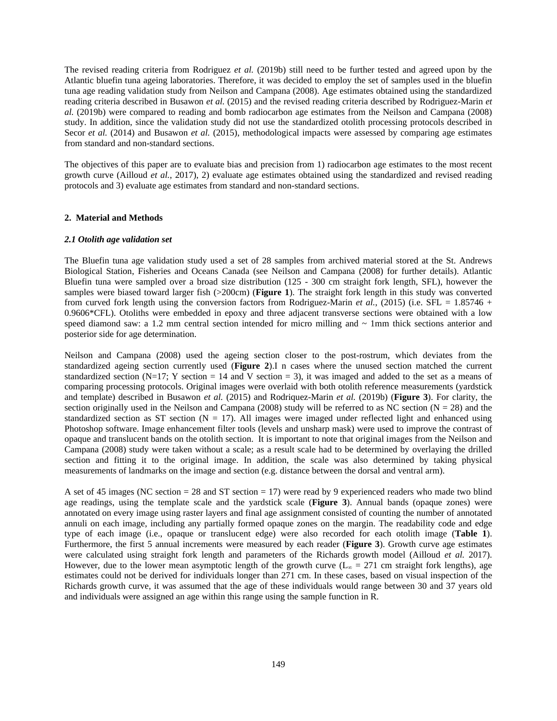The revised reading criteria from Rodriguez *et al.* (2019b) still need to be further tested and agreed upon by the Atlantic bluefin tuna ageing laboratories. Therefore, it was decided to employ the set of samples used in the bluefin tuna age reading validation study from Neilson and Campana (2008). Age estimates obtained using the standardized reading criteria described in Busawon *et al.* (2015) and the revised reading criteria described by Rodriguez-Marin *et al.* (2019b) were compared to reading and bomb radiocarbon age estimates from the Neilson and Campana (2008) study. In addition, since the validation study did not use the standardized otolith processing protocols described in Secor *et al.* (2014) and Busawon *et al.* (2015), methodological impacts were assessed by comparing age estimates from standard and non-standard sections.

The objectives of this paper are to evaluate bias and precision from 1) radiocarbon age estimates to the most recent growth curve (Ailloud *et al.*, 2017), 2) evaluate age estimates obtained using the standardized and revised reading protocols and 3) evaluate age estimates from standard and non-standard sections.

### **2. Material and Methods**

### *2.1 Otolith age validation set*

The Bluefin tuna age validation study used a set of 28 samples from archived material stored at the St. Andrews Biological Station, Fisheries and Oceans Canada (see Neilson and Campana (2008) for further details). Atlantic Bluefin tuna were sampled over a broad size distribution (125 - 300 cm straight fork length, SFL), however the samples were biased toward larger fish (>200cm) (**Figure 1**). The straight fork length in this study was converted from curved fork length using the conversion factors from Rodriguez-Marin *et al.*, (2015) (i.e.  $SFL = 1.85746 +$ 0.9606\*CFL). Otoliths were embedded in epoxy and three adjacent transverse sections were obtained with a low speed diamond saw: a 1.2 mm central section intended for micro milling and  $\sim 1$ mm thick sections anterior and posterior side for age determination.

Neilson and Campana (2008) used the ageing section closer to the post-rostrum, which deviates from the standardized ageing section currently used (**Figure 2**).I n cases where the unused section matched the current standardized section (N=17; Y section = 14 and V section = 3), it was imaged and added to the set as a means of comparing processing protocols. Original images were overlaid with both otolith reference measurements (yardstick and template) described in Busawon *et al.* (2015) and Rodriquez-Marin *et al.* (2019b) (**Figure 3**). For clarity, the section originally used in the Neilson and Campana (2008) study will be referred to as NC section ( $N = 28$ ) and the standardized section as ST section ( $N = 17$ ). All images were imaged under reflected light and enhanced using Photoshop software. Image enhancement filter tools (levels and unsharp mask) were used to improve the contrast of opaque and translucent bands on the otolith section. It is important to note that original images from the Neilson and Campana (2008) study were taken without a scale; as a result scale had to be determined by overlaying the drilled section and fitting it to the original image. In addition, the scale was also determined by taking physical measurements of landmarks on the image and section (e.g. distance between the dorsal and ventral arm).

A set of 45 images (NC section = 28 and ST section = 17) were read by 9 experienced readers who made two blind age readings, using the template scale and the yardstick scale (**Figure 3**). Annual bands (opaque zones) were annotated on every image using raster layers and final age assignment consisted of counting the number of annotated annuli on each image, including any partially formed opaque zones on the margin. The readability code and edge type of each image (i.e., opaque or translucent edge) were also recorded for each otolith image (**Table 1**). Furthermore, the first 5 annual increments were measured by each reader (**Figure 3**). Growth curve age estimates were calculated using straight fork length and parameters of the Richards growth model (Ailloud *et al.* 2017). However, due to the lower mean asymptotic length of the growth curve ( $L_{\infty}$  = 271 cm straight fork lengths), age estimates could not be derived for individuals longer than 271 cm. In these cases, based on visual inspection of the Richards growth curve, it was assumed that the age of these individuals would range between 30 and 37 years old and individuals were assigned an age within this range using the sample function in R.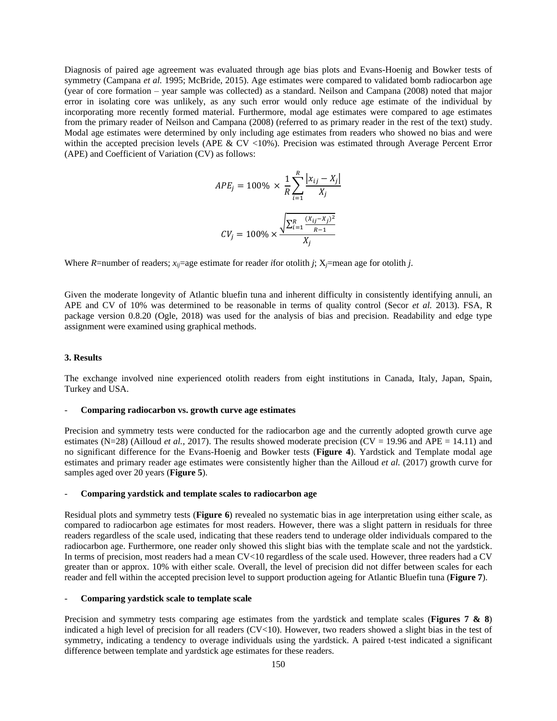Diagnosis of paired age agreement was evaluated through age bias plots and Evans-Hoenig and Bowker tests of symmetry (Campana *et al.* 1995; McBride, 2015). Age estimates were compared to validated bomb radiocarbon age (year of core formation – year sample was collected) as a standard. Neilson and Campana (2008) noted that major error in isolating core was unlikely, as any such error would only reduce age estimate of the individual by incorporating more recently formed material. Furthermore, modal age estimates were compared to age estimates from the primary reader of Neilson and Campana (2008) (referred to as primary reader in the rest of the text) study. Modal age estimates were determined by only including age estimates from readers who showed no bias and were within the accepted precision levels (APE & CV <10%). Precision was estimated through Average Percent Error (APE) and Coefficient of Variation (CV) as follows:

$$
APE_j = 100\% \times \frac{1}{R} \sum_{i=1}^{R} \frac{|x_{ij} - X_j|}{X_j}
$$

$$
CV_j = 100\% \times \frac{\sqrt{\sum_{i=1}^{R} \frac{(x_{ij} - x_j)^2}{R-1}}}{X_j}
$$

Where *R*=number of readers;  $x_{ij}$ =age estimate for reader *i*for otolith *j*;  $X_{i}$ =mean age for otolith *j*.

Given the moderate longevity of Atlantic bluefin tuna and inherent difficulty in consistently identifying annuli, an APE and CV of 10% was determined to be reasonable in terms of quality control (Secor *et al.* 2013). FSA, R package version 0.8.20 (Ogle, 2018) was used for the analysis of bias and precision. Readability and edge type assignment were examined using graphical methods.

#### **3. Results**

The exchange involved nine experienced otolith readers from eight institutions in Canada, Italy, Japan, Spain, Turkey and USA.

## - **Comparing radiocarbon vs. growth curve age estimates**

Precision and symmetry tests were conducted for the radiocarbon age and the currently adopted growth curve age estimates (N=28) (Ailloud *et al.*, 2017). The results showed moderate precision (CV = 19.96 and APE = 14.11) and no significant difference for the Evans-Hoenig and Bowker tests (**Figure 4**). Yardstick and Template modal age estimates and primary reader age estimates were consistently higher than the Ailloud *et al.* (2017) growth curve for samples aged over 20 years (**Figure 5**).

## - **Comparing yardstick and template scales to radiocarbon age**

Residual plots and symmetry tests (**Figure 6**) revealed no systematic bias in age interpretation using either scale, as compared to radiocarbon age estimates for most readers. However, there was a slight pattern in residuals for three readers regardless of the scale used, indicating that these readers tend to underage older individuals compared to the radiocarbon age. Furthermore, one reader only showed this slight bias with the template scale and not the yardstick. In terms of precision, most readers had a mean CV<10 regardless of the scale used. However, three readers had a CV greater than or approx. 10% with either scale. Overall, the level of precision did not differ between scales for each reader and fell within the accepted precision level to support production ageing for Atlantic Bluefin tuna (**Figure 7**).

#### - **Comparing yardstick scale to template scale**

Precision and symmetry tests comparing age estimates from the yardstick and template scales (**Figures 7 & 8**) indicated a high level of precision for all readers (CV<10). However, two readers showed a slight bias in the test of symmetry, indicating a tendency to overage individuals using the yardstick. A paired t-test indicated a significant difference between template and yardstick age estimates for these readers.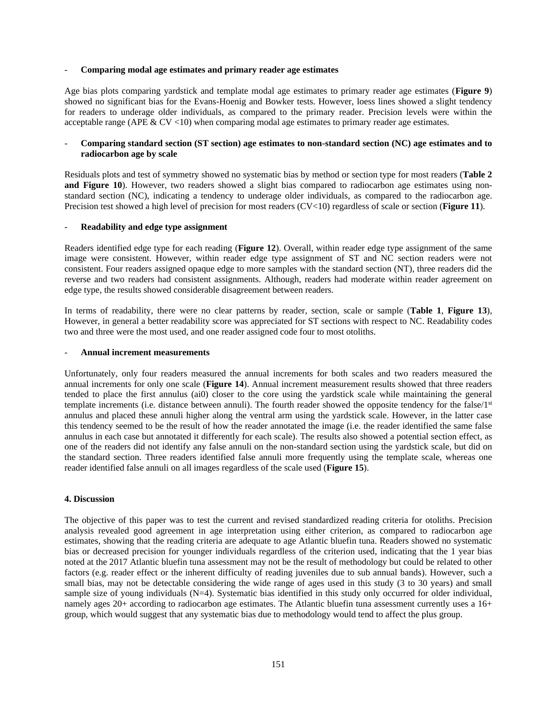## - **Comparing modal age estimates and primary reader age estimates**

Age bias plots comparing yardstick and template modal age estimates to primary reader age estimates (**Figure 9**) showed no significant bias for the Evans-Hoenig and Bowker tests. However, loess lines showed a slight tendency for readers to underage older individuals, as compared to the primary reader. Precision levels were within the acceptable range (APE  $\&$  CV <10) when comparing modal age estimates to primary reader age estimates.

## - **Comparing standard section (ST section) age estimates to non-standard section (NC) age estimates and to radiocarbon age by scale**

Residuals plots and test of symmetry showed no systematic bias by method or section type for most readers (**Table 2 and Figure 10**). However, two readers showed a slight bias compared to radiocarbon age estimates using nonstandard section (NC), indicating a tendency to underage older individuals, as compared to the radiocarbon age. Precision test showed a high level of precision for most readers (CV<10) regardless of scale or section (**Figure 11**).

## - **Readability and edge type assignment**

Readers identified edge type for each reading (**Figure 12**). Overall, within reader edge type assignment of the same image were consistent. However, within reader edge type assignment of ST and NC section readers were not consistent. Four readers assigned opaque edge to more samples with the standard section (NT), three readers did the reverse and two readers had consistent assignments. Although, readers had moderate within reader agreement on edge type, the results showed considerable disagreement between readers.

In terms of readability, there were no clear patterns by reader, section, scale or sample (**Table 1**, **Figure 13**), However, in general a better readability score was appreciated for ST sections with respect to NC. Readability codes two and three were the most used, and one reader assigned code four to most otoliths.

## - **Annual increment measurements**

Unfortunately, only four readers measured the annual increments for both scales and two readers measured the annual increments for only one scale (**Figure 14**). Annual increment measurement results showed that three readers tended to place the first annulus (ai0) closer to the core using the yardstick scale while maintaining the general template increments (i.e. distance between annuli). The fourth reader showed the opposite tendency for the false/1<sup>st</sup> annulus and placed these annuli higher along the ventral arm using the yardstick scale. However, in the latter case this tendency seemed to be the result of how the reader annotated the image (i.e. the reader identified the same false annulus in each case but annotated it differently for each scale). The results also showed a potential section effect, as one of the readers did not identify any false annuli on the non-standard section using the yardstick scale, but did on the standard section. Three readers identified false annuli more frequently using the template scale, whereas one reader identified false annuli on all images regardless of the scale used (**Figure 15**).

## **4. Discussion**

The objective of this paper was to test the current and revised standardized reading criteria for otoliths. Precision analysis revealed good agreement in age interpretation using either criterion, as compared to radiocarbon age estimates, showing that the reading criteria are adequate to age Atlantic bluefin tuna. Readers showed no systematic bias or decreased precision for younger individuals regardless of the criterion used, indicating that the 1 year bias noted at the 2017 Atlantic bluefin tuna assessment may not be the result of methodology but could be related to other factors (e.g. reader effect or the inherent difficulty of reading juveniles due to sub annual bands). However, such a small bias, may not be detectable considering the wide range of ages used in this study (3 to 30 years) and small sample size of young individuals  $(N=4)$ . Systematic bias identified in this study only occurred for older individual, namely ages 20+ according to radiocarbon age estimates. The Atlantic bluefin tuna assessment currently uses a 16+ group, which would suggest that any systematic bias due to methodology would tend to affect the plus group.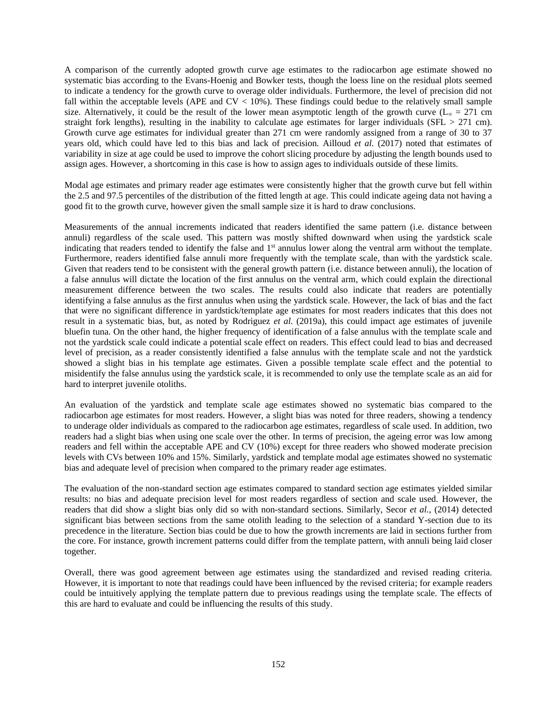A comparison of the currently adopted growth curve age estimates to the radiocarbon age estimate showed no systematic bias according to the Evans-Hoenig and Bowker tests, though the loess line on the residual plots seemed to indicate a tendency for the growth curve to overage older individuals. Furthermore, the level of precision did not fall within the acceptable levels (APE and  $CV < 10\%$ ). These findings could bedue to the relatively small sample size. Alternatively, it could be the result of the lower mean asymptotic length of the growth curve (L<sub>∞</sub> = 271 cm straight fork lengths), resulting in the inability to calculate age estimates for larger individuals (SFL  $> 271$  cm). Growth curve age estimates for individual greater than 271 cm were randomly assigned from a range of 30 to 37 years old, which could have led to this bias and lack of precision. Ailloud *et al.* (2017) noted that estimates of variability in size at age could be used to improve the cohort slicing procedure by adjusting the length bounds used to assign ages. However, a shortcoming in this case is how to assign ages to individuals outside of these limits.

Modal age estimates and primary reader age estimates were consistently higher that the growth curve but fell within the 2.5 and 97.5 percentiles of the distribution of the fitted length at age. This could indicate ageing data not having a good fit to the growth curve, however given the small sample size it is hard to draw conclusions.

Measurements of the annual increments indicated that readers identified the same pattern (i.e. distance between annuli) regardless of the scale used. This pattern was mostly shifted downward when using the yardstick scale indicating that readers tended to identify the false and 1<sup>st</sup> annulus lower along the ventral arm without the template. Furthermore, readers identified false annuli more frequently with the template scale, than with the yardstick scale. Given that readers tend to be consistent with the general growth pattern (i.e. distance between annuli), the location of a false annulus will dictate the location of the first annulus on the ventral arm, which could explain the directional measurement difference between the two scales. The results could also indicate that readers are potentially identifying a false annulus as the first annulus when using the yardstick scale. However, the lack of bias and the fact that were no significant difference in yardstick/template age estimates for most readers indicates that this does not result in a systematic bias, but, as noted by Rodriguez *et al.* (2019a), this could impact age estimates of juvenile bluefin tuna. On the other hand, the higher frequency of identification of a false annulus with the template scale and not the yardstick scale could indicate a potential scale effect on readers. This effect could lead to bias and decreased level of precision, as a reader consistently identified a false annulus with the template scale and not the yardstick showed a slight bias in his template age estimates. Given a possible template scale effect and the potential to misidentify the false annulus using the yardstick scale, it is recommended to only use the template scale as an aid for hard to interpret juvenile otoliths.

An evaluation of the yardstick and template scale age estimates showed no systematic bias compared to the radiocarbon age estimates for most readers. However, a slight bias was noted for three readers, showing a tendency to underage older individuals as compared to the radiocarbon age estimates, regardless of scale used. In addition, two readers had a slight bias when using one scale over the other. In terms of precision, the ageing error was low among readers and fell within the acceptable APE and CV (10%) except for three readers who showed moderate precision levels with CVs between 10% and 15%. Similarly, yardstick and template modal age estimates showed no systematic bias and adequate level of precision when compared to the primary reader age estimates.

The evaluation of the non-standard section age estimates compared to standard section age estimates yielded similar results: no bias and adequate precision level for most readers regardless of section and scale used. However, the readers that did show a slight bias only did so with non-standard sections. Similarly, Secor *et al.*, (2014) detected significant bias between sections from the same otolith leading to the selection of a standard Y-section due to its precedence in the literature. Section bias could be due to how the growth increments are laid in sections further from the core. For instance, growth increment patterns could differ from the template pattern, with annuli being laid closer together.

Overall, there was good agreement between age estimates using the standardized and revised reading criteria. However, it is important to note that readings could have been influenced by the revised criteria; for example readers could be intuitively applying the template pattern due to previous readings using the template scale. The effects of this are hard to evaluate and could be influencing the results of this study.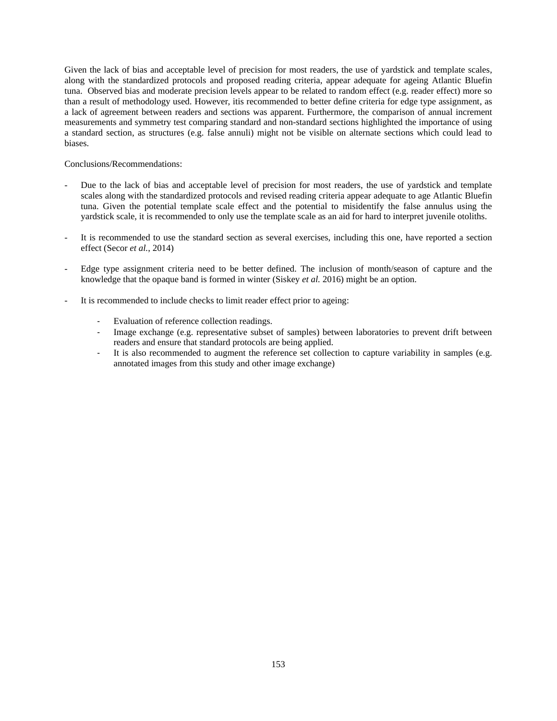Given the lack of bias and acceptable level of precision for most readers, the use of yardstick and template scales, along with the standardized protocols and proposed reading criteria, appear adequate for ageing Atlantic Bluefin tuna. Observed bias and moderate precision levels appear to be related to random effect (e.g. reader effect) more so than a result of methodology used. However, itis recommended to better define criteria for edge type assignment, as a lack of agreement between readers and sections was apparent. Furthermore, the comparison of annual increment measurements and symmetry test comparing standard and non-standard sections highlighted the importance of using a standard section, as structures (e.g. false annuli) might not be visible on alternate sections which could lead to biases.

## Conclusions/Recommendations:

- Due to the lack of bias and acceptable level of precision for most readers, the use of yardstick and template scales along with the standardized protocols and revised reading criteria appear adequate to age Atlantic Bluefin tuna. Given the potential template scale effect and the potential to misidentify the false annulus using the yardstick scale, it is recommended to only use the template scale as an aid for hard to interpret juvenile otoliths.
- It is recommended to use the standard section as several exercises, including this one, have reported a section effect (Secor *et al.*, 2014)
- Edge type assignment criteria need to be better defined. The inclusion of month/season of capture and the knowledge that the opaque band is formed in winter (Siskey *et al.* 2016) might be an option.
- It is recommended to include checks to limit reader effect prior to ageing:
	- Evaluation of reference collection readings.
	- Image exchange (e.g. representative subset of samples) between laboratories to prevent drift between readers and ensure that standard protocols are being applied.
	- It is also recommended to augment the reference set collection to capture variability in samples (e.g. annotated images from this study and other image exchange)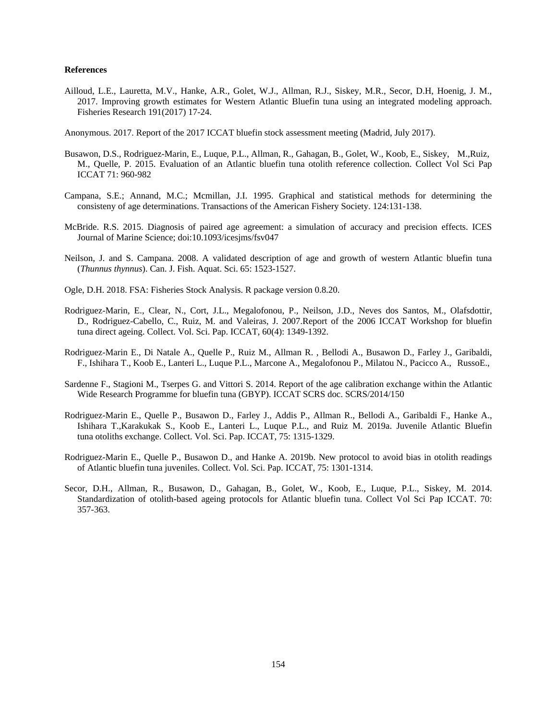## **References**

- Ailloud, L.E., Lauretta, M.V., Hanke, A.R., Golet, W.J., Allman, R.J., Siskey, M.R., Secor, D.H, Hoenig, J. M., 2017. Improving growth estimates for Western Atlantic Bluefin tuna using an integrated modeling approach. Fisheries Research 191(2017) 17-24.
- Anonymous. 2017. Report of the 2017 ICCAT bluefin stock assessment meeting (Madrid, July 2017).
- Busawon, D.S., Rodriguez-Marin, E., Luque, P.L., Allman, R., Gahagan, B., Golet, W., Koob, E., Siskey, M.,Ruiz, M., Quelle, P. 2015. Evaluation of an Atlantic bluefin tuna otolith reference collection. Collect Vol Sci Pap ICCAT 71: 960-982
- Campana, S.E.; Annand, M.C.; Mcmillan, J.I. 1995. Graphical and statistical methods for determining the consisteny of age determinations. Transactions of the American Fishery Society. 124:131-138.
- McBride. R.S. 2015. Diagnosis of paired age agreement: a simulation of accuracy and precision effects. ICES Journal of Marine Science; doi:10.1093/icesjms/fsv047
- Neilson, J. and S. Campana. 2008. A validated description of age and growth of western Atlantic bluefin tuna (*Thunnus thynnus*). Can. J. Fish. Aquat. Sci. 65: 1523-1527.
- Ogle, D.H. 2018. FSA: Fisheries Stock Analysis. R package version 0.8.20.
- Rodriguez-Marin, E., Clear, N., Cort, J.L., Megalofonou, P., Neilson, J.D., Neves dos Santos, M., Olafsdottir, D., Rodriguez-Cabello, C., Ruiz, M. and Valeiras, J. 2007.Report of the 2006 ICCAT Workshop for bluefin tuna direct ageing. Collect. Vol. Sci. Pap. ICCAT, 60(4): 1349-1392.
- Rodriguez-Marin E., Di Natale A., Quelle P., Ruiz M., Allman R. , Bellodi A., Busawon D., Farley J., Garibaldi, F., Ishihara T., Koob E., Lanteri L., Luque P.L., Marcone A., Megalofonou P., Milatou N., Pacicco A., RussoE.,
- Sardenne F., Stagioni M., Tserpes G. and Vittori S. 2014. Report of the age calibration exchange within the Atlantic Wide Research Programme for bluefin tuna (GBYP). ICCAT SCRS doc. SCRS/2014/150
- Rodriguez-Marin E., Quelle P., Busawon D., Farley J., Addis P., Allman R., Bellodi A., Garibaldi F., Hanke A., Ishihara T.,Karakukak S., Koob E., Lanteri L., Luque P.L., and Ruiz M. 2019a. Juvenile Atlantic Bluefin tuna otoliths exchange. Collect. Vol. Sci. Pap. ICCAT, 75: 1315-1329.
- Rodriguez-Marin E., Quelle P., Busawon D., and Hanke A. 2019b. New protocol to avoid bias in otolith readings of Atlantic bluefin tuna juveniles. Collect. Vol. Sci. Pap. ICCAT, 75: 1301-1314.
- Secor, D.H., Allman, R., Busawon, D., Gahagan, B., Golet, W., Koob, E., Luque, P.L., Siskey, M. 2014. Standardization of otolith-based ageing protocols for Atlantic bluefin tuna. Collect Vol Sci Pap ICCAT. 70: 357-363.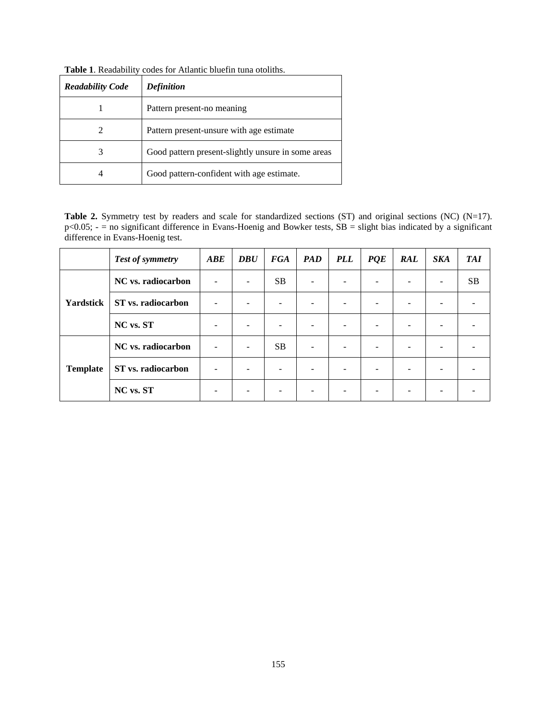| <b>Readability Code</b> | <b>Definition</b>                                  |
|-------------------------|----------------------------------------------------|
|                         | Pattern present-no meaning                         |
|                         | Pattern present-unsure with age estimate           |
| 3                       | Good pattern present-slightly unsure in some areas |
| 4                       | Good pattern-confident with age estimate.          |

**Table 1**. Readability codes for Atlantic bluefin tuna otoliths.

Table 2. Symmetry test by readers and scale for standardized sections (ST) and original sections (NC) (N=17).  $p<0.05$ ; - = no significant difference in Evans-Hoenig and Bowker tests,  $SB =$  slight bias indicated by a significant difference in Evans-Hoenig test.

|                  | Test of symmetry   | $\boldsymbol{A} \boldsymbol{B} \boldsymbol{E}$ | <b>DBU</b>               | <b>FGA</b> | <b>PAD</b> | <b>PLL</b>               | PQE | <b>RAL</b> | <b>SKA</b> | <b>TAI</b> |
|------------------|--------------------|------------------------------------------------|--------------------------|------------|------------|--------------------------|-----|------------|------------|------------|
| <b>Yardstick</b> | NC vs. radiocarbon |                                                | $\overline{\phantom{0}}$ | <b>SB</b>  |            | $\overline{\phantom{a}}$ | ۰   | ۰          |            | SB         |
|                  | ST vs. radiocarbon |                                                |                          |            |            | $\overline{\phantom{a}}$ | ۰   | ۰          |            |            |
|                  | NC vs. ST          |                                                |                          |            |            | $\overline{\phantom{a}}$ |     |            |            |            |
| <b>Template</b>  | NC vs. radiocarbon |                                                | $\overline{\phantom{0}}$ | <b>SB</b>  |            | $\overline{\phantom{a}}$ | ۰   | ۰          |            |            |
|                  | ST vs. radiocarbon |                                                |                          |            |            | $\overline{\phantom{a}}$ |     |            |            |            |
|                  | NC vs. ST          |                                                |                          |            |            |                          | ۰   |            |            |            |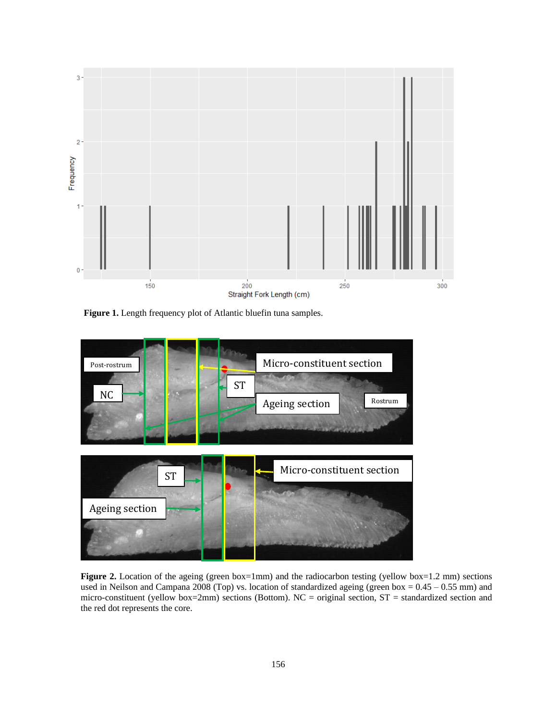

**Figure 1.** Length frequency plot of Atlantic bluefin tuna samples.



Figure 2. Location of the ageing (green box=1mm) and the radiocarbon testing (yellow box=1.2 mm) sections used in Neilson and Campana 2008 (Top) vs. location of standardized ageing (green box =  $0.45 - 0.55$  mm) and micro-constituent (yellow box=2mm) sections (Bottom). NC = original section, ST = standardized section and the red dot represents the core.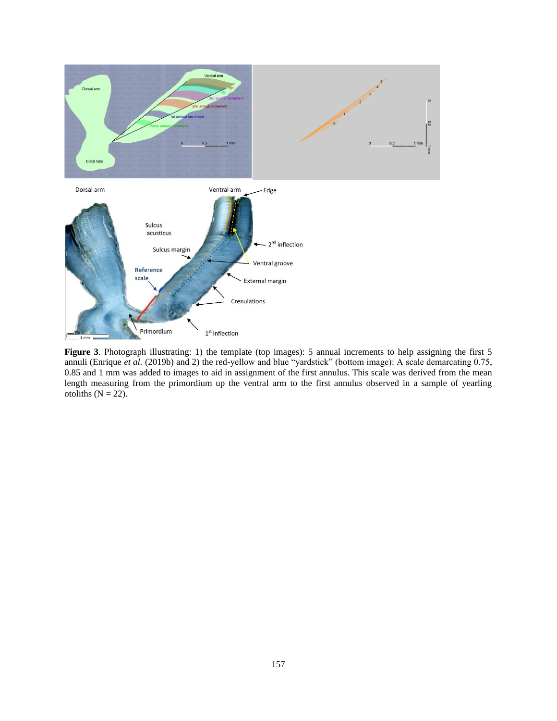

**Figure 3**. Photograph illustrating: 1) the template (top images): 5 annual increments to help assigning the first 5 annuli (Enrique et al. (2019b) and 2) the red-yellow and blue "yardstick" (bottom image): A scale demarcating 0.75, 0.85 and 1 mm was added to images to aid in assignment of the first annulus. This scale was derived from the mean length measuring from the primordium up the ventral arm to the first annulus observed in a sample of yearling otoliths  $(N = 22)$ .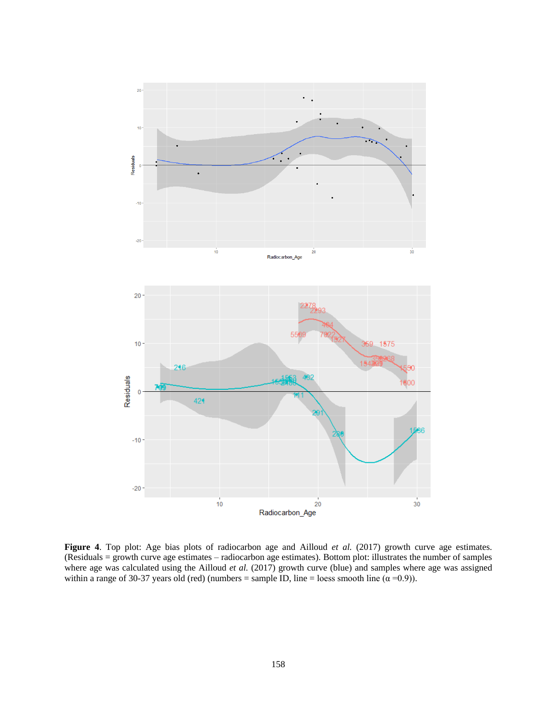

**Figure 4**. Top plot: Age bias plots of radiocarbon age and Ailloud *et al.* (2017) growth curve age estimates. (Residuals = growth curve age estimates – radiocarbon age estimates). Bottom plot: illustrates the number of samples where age was calculated using the Ailloud et al. (2017) growth curve (blue) and samples where age was assigned within a range of 30-37 years old (red) (numbers = sample ID, line = loess smooth line ( $\alpha$  =0.9)).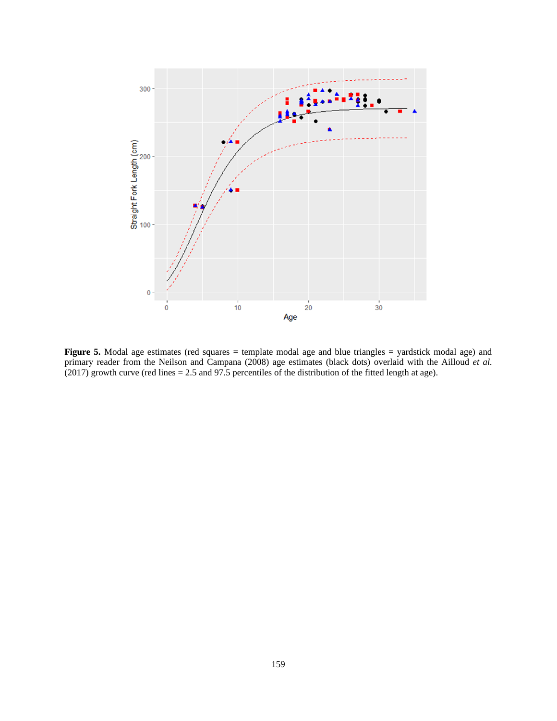

Figure 5. Modal age estimates (red squares = template modal age and blue triangles = yardstick modal age) and primary reader from the Neilson and Campana (2008) age estimates (black dots) overlaid with the Ailloud *et al.* (2017) growth curve (red lines = 2.5 and 97.5 percentiles of the distribution of the fitted length at age).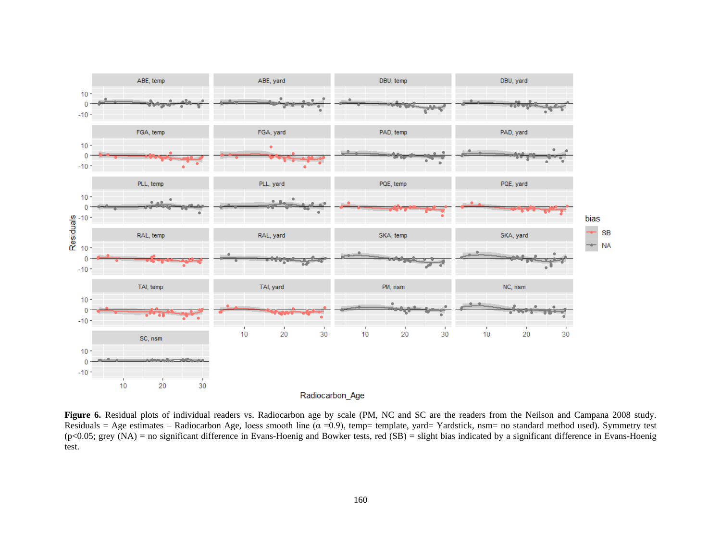

Figure 6. Residual plots of individual readers vs. Radiocarbon age by scale (PM, NC and SC are the readers from the Neilson and Campana 2008 study. Residuals = Age estimates – Radiocarbon Age, loess smooth line  $(\alpha = 0.9)$ , temp= template, yard= Yardstick, nsm= no standard method used). Symmetry test  $(p<0.05$ ; grey (NA) = no significant difference in Evans-Hoenig and Bowker tests, red (SB) = slight bias indicated by a significant difference in Evans-Hoenig test.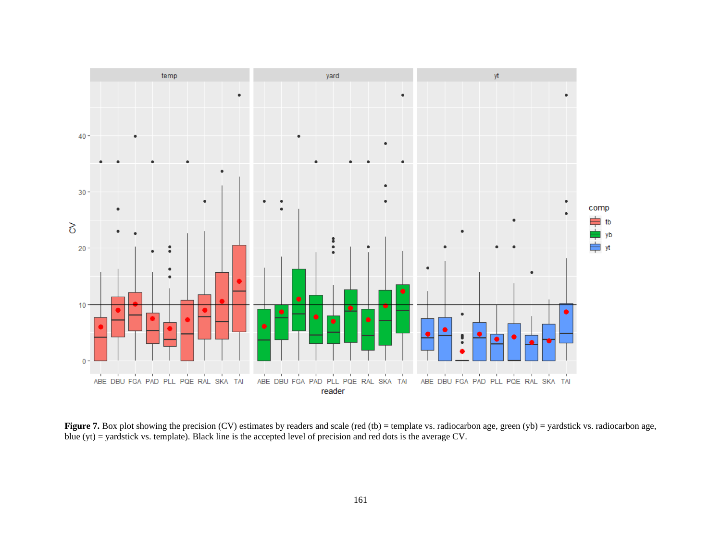

Figure 7. Box plot showing the precision (CV) estimates by readers and scale (red (tb) = template vs. radiocarbon age, green (yb) = yardstick vs. radiocarbon age, blue (yt) = yardstick vs. template). Black line is the accepted level of precision and red dots is the average CV.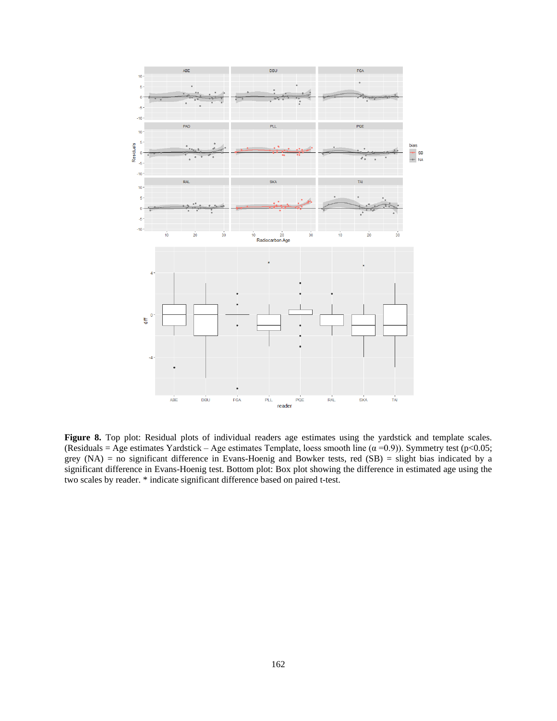

Figure 8. Top plot: Residual plots of individual readers age estimates using the yardstick and template scales. (Residuals = Age estimates Yardstick – Age estimates Template, loess smooth line ( $\alpha$  =0.9)). Symmetry test (p<0.05; grey (NA) = no significant difference in Evans-Hoenig and Bowker tests, red (SB) = slight bias indicated by a significant difference in Evans-Hoenig test. Bottom plot: Box plot showing the difference in estimated age using the two scales by reader. \* indicate significant difference based on paired t-test.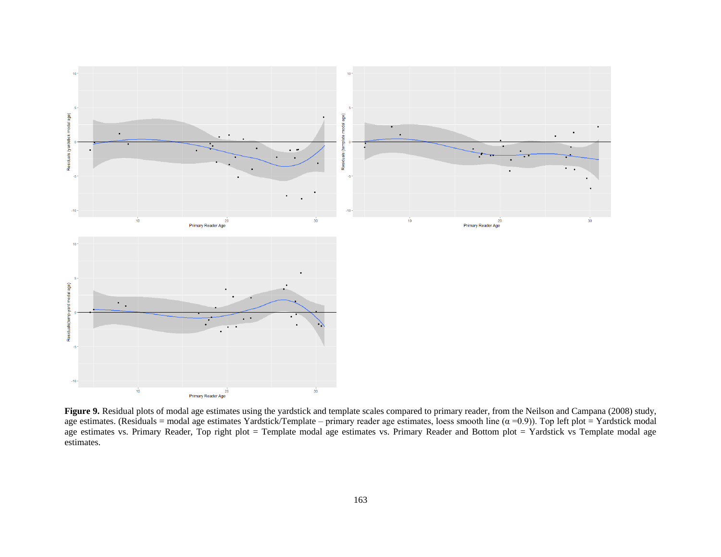

Figure 9. Residual plots of modal age estimates using the yardstick and template scales compared to primary reader, from the Neilson and Campana (2008) study, age estimates. (Residuals = modal age estimates Yardstick/Template – primary reader age estimates, loess smooth line ( $\alpha$  =0.9)). Top left plot = Yardstick modal age estimates vs. Primary Reader, Top right plot = Template modal age estimates vs. Primary Reader and Bottom plot = Yardstick vs Template modal age estimates.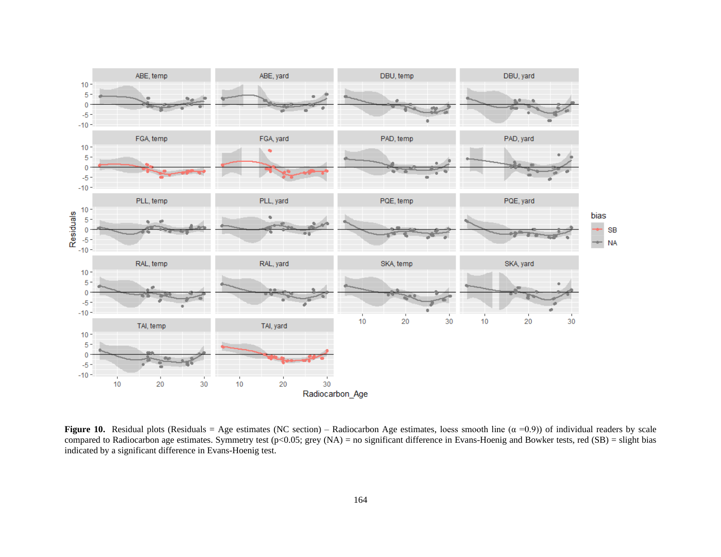

**Figure 10.** Residual plots (Residuals = Age estimates (NC section) – Radiocarbon Age estimates, loess smooth line  $(\alpha = 0.9)$ ) of individual readers by scale compared to Radiocarbon age estimates. Symmetry test (p<0.05; grey (NA) = no significant difference in Evans-Hoenig and Bowker tests, red (SB) = slight bias indicated by a significant difference in Evans-Hoenig test.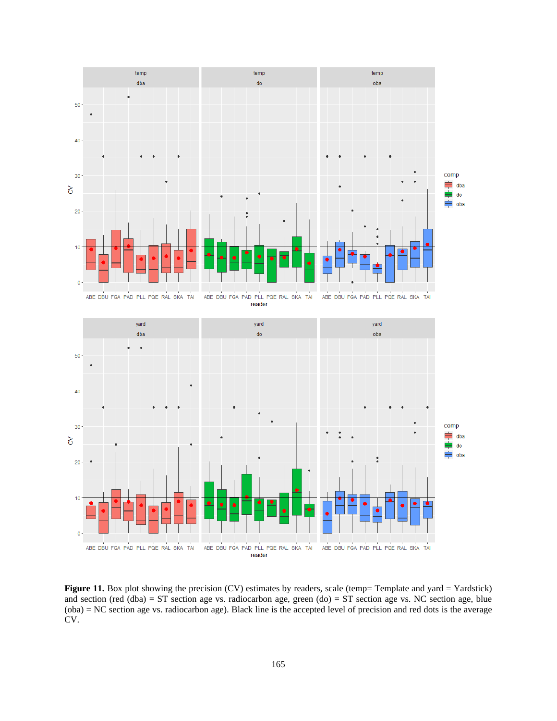

**Figure 11.** Box plot showing the precision (CV) estimates by readers, scale (temp= Template and yard = Yardstick) and section (red (dba) = ST section age vs. radiocarbon age, green (do) = ST section age vs. NC section age, blue (oba) = NC section age vs. radiocarbon age). Black line is the accepted level of precision and red dots is the average CV.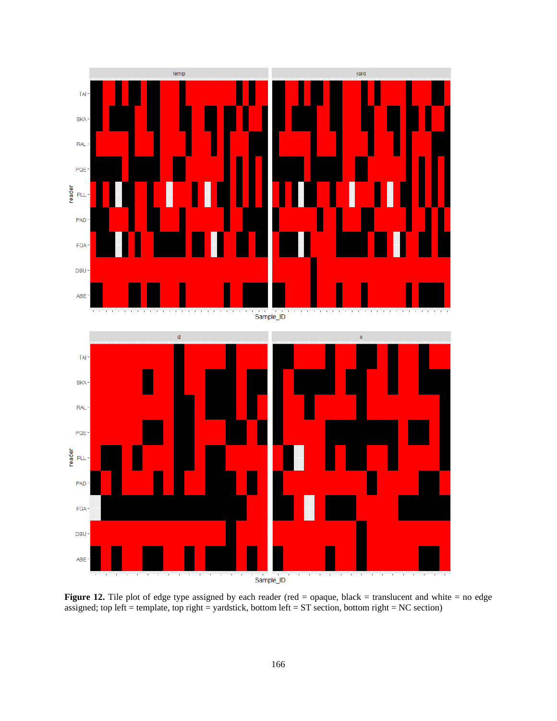

**Figure 12.** Tile plot of edge type assigned by each reader (red = opaque, black = translucent and white = no edge assigned; top left = template, top right = yardstick, bottom left =  $ST$  section, bottom right =  $NC$  section)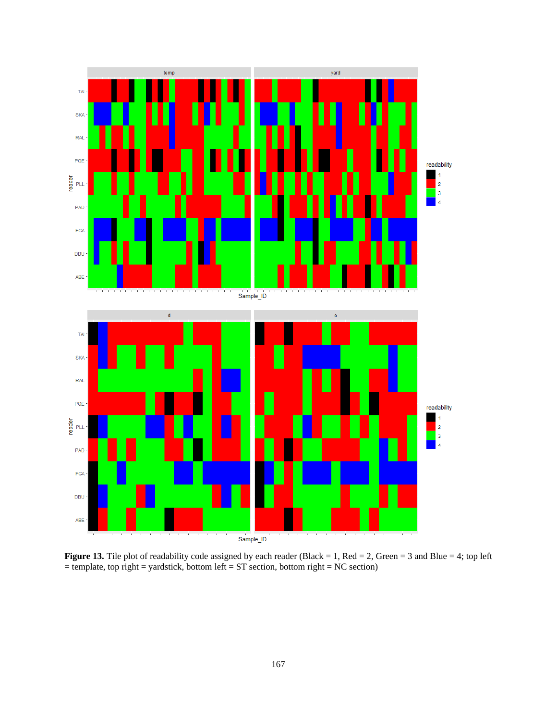

**Figure 13.** Tile plot of readability code assigned by each reader (Black = 1, Red = 2, Green = 3 and Blue = 4; top left  $=$  template, top right = yardstick, bottom left = ST section, bottom right = NC section)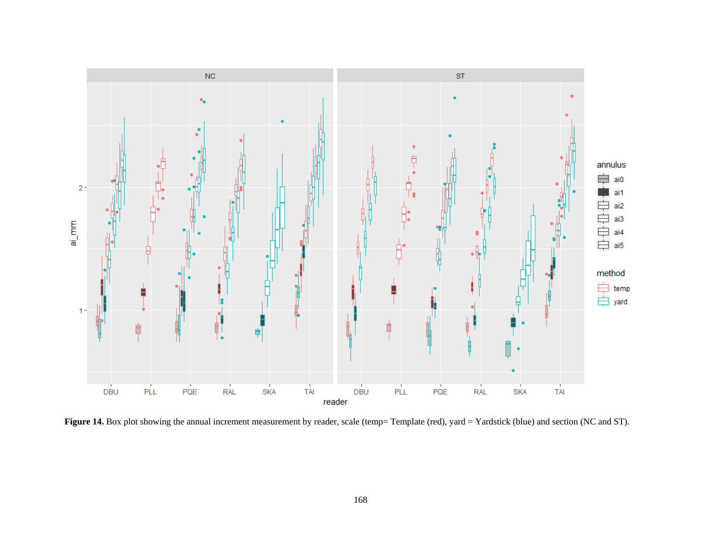

Figure 14. Box plot showing the annual increment measurement by reader, scale (temp= Template (red), yard = Yardstick (blue) and section (NC and ST).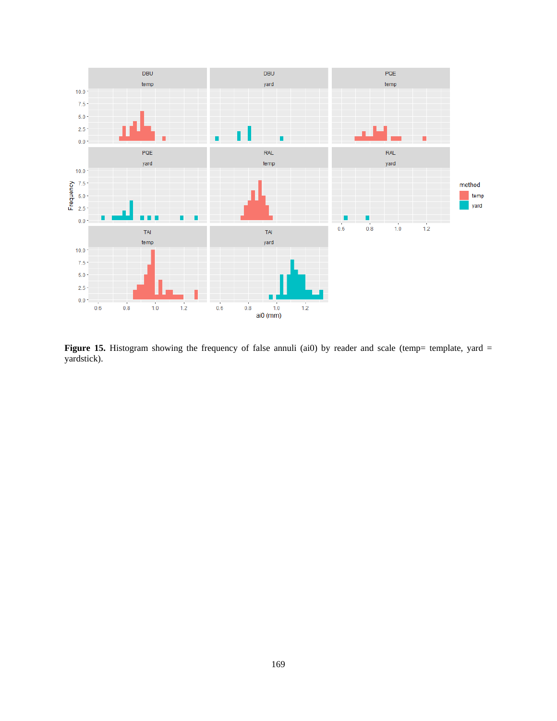

Figure 15. Histogram showing the frequency of false annuli (ai0) by reader and scale (temp= template, yard = yardstick).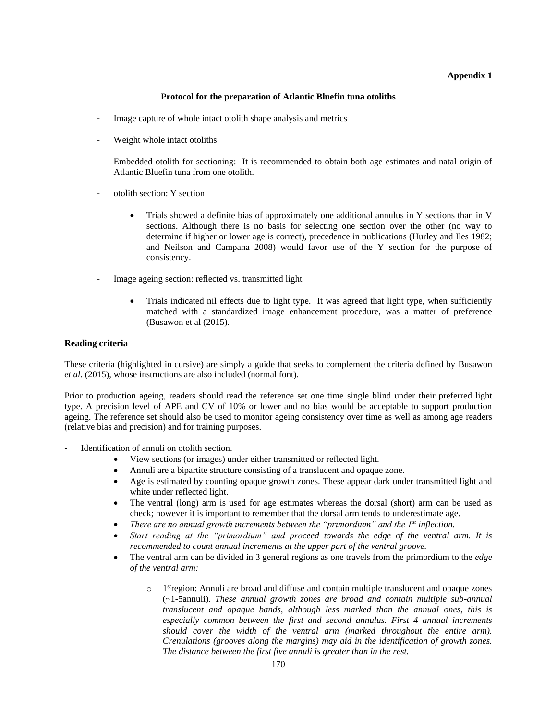# **Appendix 1**

## **Protocol for the preparation of Atlantic Bluefin tuna otoliths**

- Image capture of whole intact otolith shape analysis and metrics
- Weight whole intact otoliths
- Embedded otolith for sectioning: It is recommended to obtain both age estimates and natal origin of Atlantic Bluefin tuna from one otolith.
- otolith section: Y section
	- Trials showed a definite bias of approximately one additional annulus in Y sections than in V sections. Although there is no basis for selecting one section over the other (no way to determine if higher or lower age is correct), precedence in publications (Hurley and Iles 1982; and Neilson and Campana 2008) would favor use of the Y section for the purpose of consistency.
- Image ageing section: reflected vs. transmitted light
	- Trials indicated nil effects due to light type. It was agreed that light type, when sufficiently matched with a standardized image enhancement procedure, was a matter of preference (Busawon et al (2015).

### **Reading criteria**

These criteria (highlighted in cursive) are simply a guide that seeks to complement the criteria defined by Busawon *et al.* (2015), whose instructions are also included (normal font).

Prior to production ageing, readers should read the reference set one time single blind under their preferred light type. A precision level of APE and CV of 10% or lower and no bias would be acceptable to support production ageing. The reference set should also be used to monitor ageing consistency over time as well as among age readers (relative bias and precision) and for training purposes.

- Identification of annuli on otolith section.
	- View sections (or images) under either transmitted or reflected light.
	- Annuli are a bipartite structure consisting of a translucent and opaque zone.
	- Age is estimated by counting opaque growth zones. These appear dark under transmitted light and white under reflected light.
	- The ventral (long) arm is used for age estimates whereas the dorsal (short) arm can be used as check; however it is important to remember that the dorsal arm tends to underestimate age.
	- *There are no annual growth increments between the "primordium" and the 1st inflection.*
	- *Start reading at the "primordium" and proceed towards the edge of the ventral arm. It is recommended to count annual increments at the upper part of the ventral groove.*
	- The ventral arm can be divided in 3 general regions as one travels from the primordium to the *edge of the ventral arm:*
		- o 1 stregion: Annuli are broad and diffuse and contain multiple translucent and opaque zones (~1-5annuli). *These annual growth zones are broad and contain multiple sub-annual translucent and opaque bands, although less marked than the annual ones, this is especially common between the first and second annulus. First 4 annual increments should cover the width of the ventral arm (marked throughout the entire arm). Crenulations (grooves along the margins) may aid in the identification of growth zones. The distance between the first five annuli is greater than in the rest.*